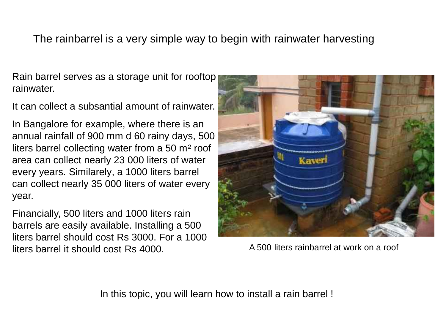### The rainbarrel is a very simple way to begin with rainwater harvesting

Rain barrel serves as a storage unit for rooftop rainwater.

It can collect a subsantial amount of rainwater.

In Bangalore for example, where there is an annual rainfall of 900 mm d 60 rainy days, 500 liters barrel collecting water from a 50 m² roof area can collect nearly 23 000 liters of water every years. Similarely, a 1000 liters barrel can collect nearly 35 000 liters of water every year.

Financially, 500 liters and 1000 liters rain barrels are easily available. Installing a 500 liters barrel should cost Rs 3000. For a 1000 liters barrel it should cost Rs 4000. A 500 liters rainbarrel at work on a roof



In this topic, you will learn how to install a rain barrel !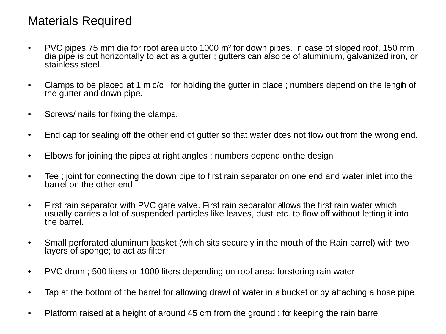# Materials Required

- PVC pipes 75 mm dia for roof area upto 1000 m² for down pipes. In case of sloped roof, 150 mm dia pipe is cut horizontally to act as a gutter ; gutters can also be of aluminium, galvanized iron, or stainless steel.
- Clamps to be placed at 1 m c/c : for holding the gutter in place ; numbers depend on the length of the gutter and down pipe.
- Screws/ nails for fixing the clamps.
- End cap for sealing off the other end of gutter so that water does not flow out from the wrong end.
- Elbows for joining the pipes at right angles ; numbers depend onthe design
- Tee ; joint for connecting the down pipe to first rain separator on one end and water inlet into the barrel on the other end
- First rain separator with PVC gate valve. First rain separator allows the first rain water which usually carries a lot of suspended particles like leaves, dust, etc. to flow off without letting it into the barrel.
- Small perforated aluminum basket (which sits securely in the mouth of the Rain barrel) with two layers of sponge; to act as filter
- PVC drum ; 500 liters or 1000 liters depending on roof area: forstoring rain water
- Tap at the bottom of the barrel for allowing drawl of water in a bucket or by attaching a hose pipe
- Platform raised at a height of around 45 cm from the ground : for keeping the rain barrel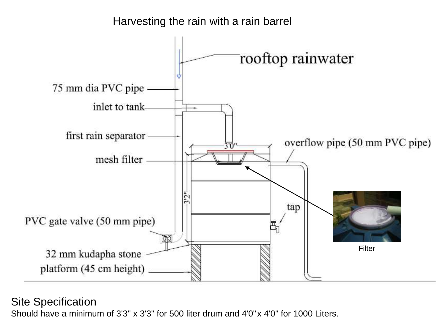

Site Specification

Should have a minimum of 3'3" x 3'3" for 500 liter drum and 4'0"x 4'0" for 1000 Liters.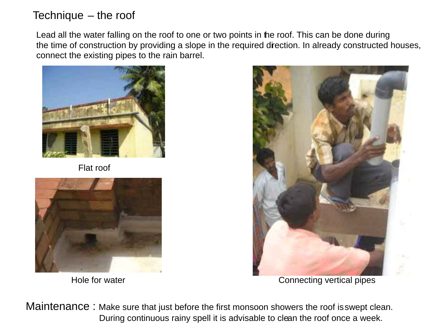### Technique – the roof

Lead all the water falling on the roof to one or two points in the roof. This can be done during the time of construction by providing a slope in the required direction. In already constructed houses, connect the existing pipes to the rain barrel.



Flat roof





Hole for water **Connecting vertical pipes** 

Maintenance : Make sure that just before the first monsoon showers the roof isswept clean. During continuous rainy spell it is advisable to clean the roof once a week.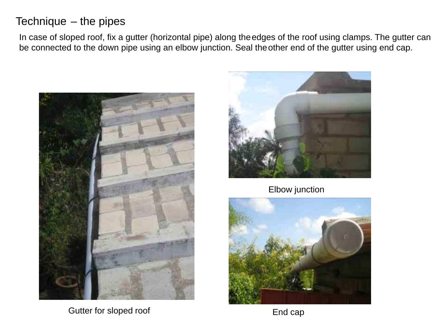### Technique – the pipes

In case of sloped roof, fix a gutter (horizontal pipe) along theedges of the roof using clamps. The gutter can be connected to the down pipe using an elbow junction. Seal the other end of the gutter using end cap.



Gutter for sloped roof



Elbow junction



End cap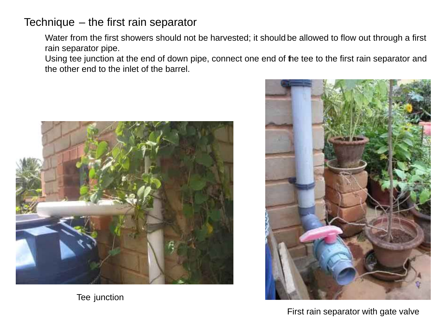### Technique – the first rain separator

Water from the first showers should not be harvested; it should be allowed to flow out through a first rain separator pipe.

Using tee junction at the end of down pipe, connect one end of the tee to the first rain separator and the other end to the inlet of the barrel.



Tee junction



First rain separator with gate valve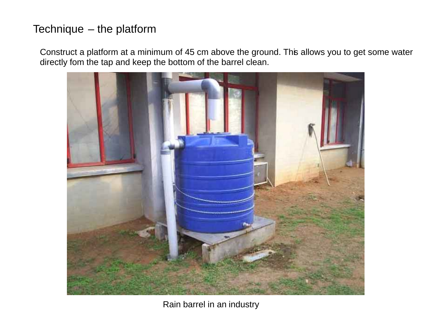### Technique – the platform

Construct a platform at a minimum of 45 cm above the ground. This allows you to get some water directly fom the tap and keep the bottom of the barrel clean.



Rain barrel in an industry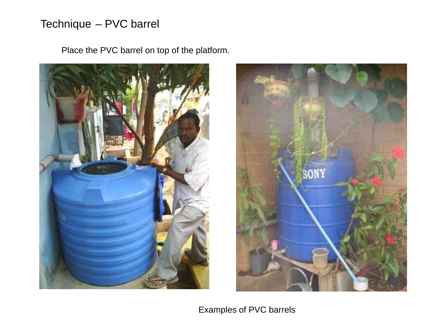# Technique – PVC barrel

Place the PVC barrel on top of the platform.





Examples of PVC barrels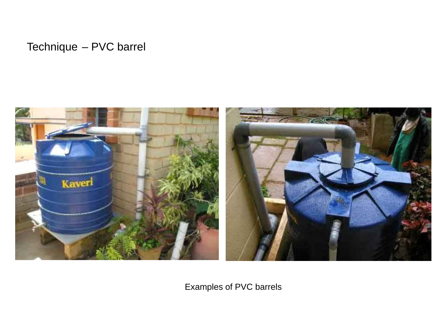Technique – PVC barrel



Examples of PVC barrels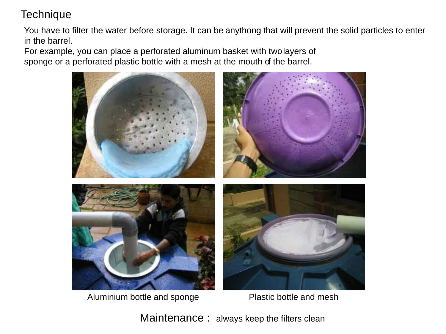# **Technique**

You have to filter the water before storage. It can be anythong that will prevent the solid particles to enter in the barrel.

For example, you can place a perforated aluminum basket with twolayers of sponge or a perforated plastic bottle with a mesh at the mouth of the barrel.



Aluminium bottle and sponge Plastic bottle and mesh

Maintenance: always keep the filters clean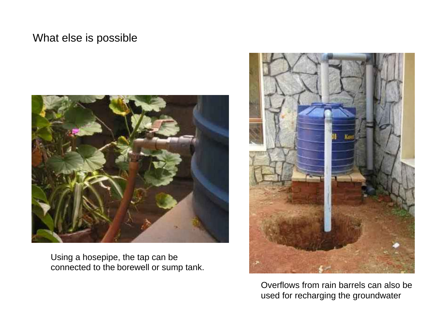#### What else is possible



Using a hosepipe, the tap can be connected to the borewell or sump tank.



Overflows from rain barrels can also be used for recharging the groundwater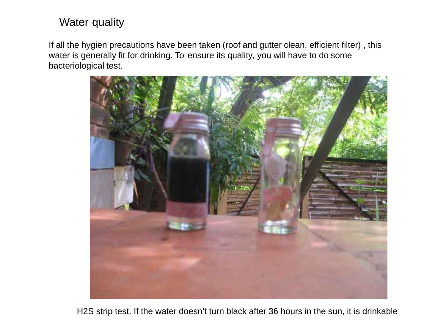#### Water quality

If all the hygien precautions have been taken (roof and gutter clean, efficient filter) , this water is generally fit for drinking. To ensure its quality, you will have to do some bacteriological test.



H2S strip test. If the water doesn't turn black after 36 hours in the sun, it is drinkable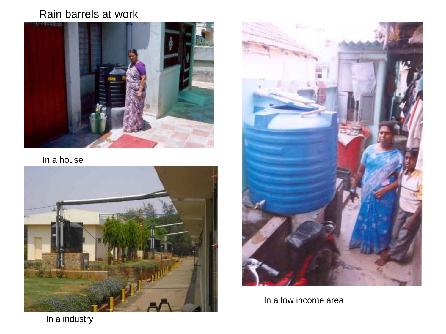## Rain barrels at work



In a house





In a low income area

In a industry